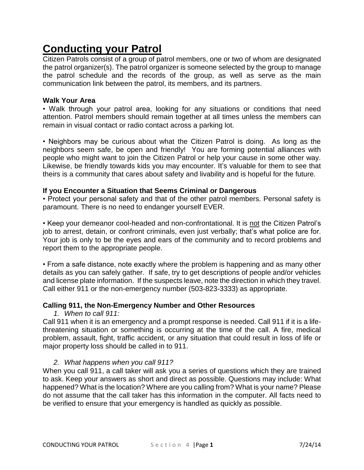# **Conducting your Patrol**

Citizen Patrols consist of a group of patrol members, one or two of whom are designated the patrol organizer(s). The patrol organizer is someone selected by the group to manage the patrol schedule and the records of the group, as well as serve as the main communication link between the patrol, its members, and its partners.

#### **Walk Your Area**

• Walk through your patrol area, looking for any situations or conditions that need attention. Patrol members should remain together at all times unless the members can remain in visual contact or radio contact across a parking lot.

• Neighbors may be curious about what the Citizen Patrol is doing. As long as the neighbors seem safe, be open and friendly! You are forming potential alliances with people who might want to join the Citizen Patrol or help your cause in some other way. Likewise, be friendly towards kids you may encounter. It's valuable for them to see that theirs is a community that cares about safety and livability and is hopeful for the future.

# **If you Encounter a Situation that Seems Criminal or Dangerous**

• Protect your personal safety and that of the other patrol members. Personal safety is paramount. There is no need to endanger yourself EVER.

• Keep your demeanor cool-headed and non-confrontational. It is not the Citizen Patrol's job to arrest, detain, or confront criminals, even just verbally; that's what police are for. Your job is only to be the eyes and ears of the community and to record problems and report them to the appropriate people.

• From a safe distance, note exactly where the problem is happening and as many other details as you can safely gather. If safe, try to get descriptions of people and/or vehicles and license plate information. If the suspects leave, note the direction in which they travel. Call either 911 or the non-emergency number (503-823-3333) as appropriate.

# **Calling 911, the Non-Emergency Number and Other Resources**

*1. When to call 911:*

Call 911 when it is an emergency and a prompt response is needed. Call 911 if it is a lifethreatening situation or something is occurring at the time of the call. A fire, medical problem, assault, fight, traffic accident, or any situation that could result in loss of life or major property loss should be called in to 911.

# *2. What happens when you call 911?*

When you call 911, a call taker will ask you a series of questions which they are trained to ask. Keep your answers as short and direct as possible. Questions may include: What happened? What is the location? Where are you calling from? What is your name? Please do not assume that the call taker has this information in the computer. All facts need to be verified to ensure that your emergency is handled as quickly as possible.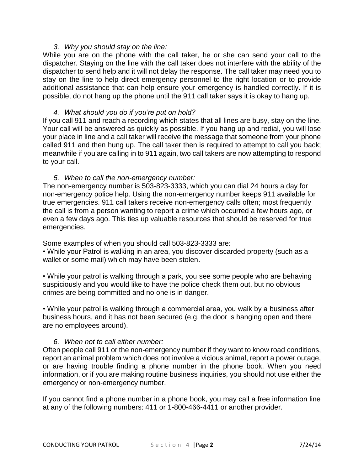#### *3. Why you should stay on the line:*

While you are on the phone with the call taker, he or she can send your call to the dispatcher. Staying on the line with the call taker does not interfere with the ability of the dispatcher to send help and it will not delay the response. The call taker may need you to stay on the line to help direct emergency personnel to the right location or to provide additional assistance that can help ensure your emergency is handled correctly. If it is possible, do not hang up the phone until the 911 call taker says it is okay to hang up.

#### *4. What should you do if you're put on hold?*

If you call 911 and reach a recording which states that all lines are busy, stay on the line. Your call will be answered as quickly as possible. If you hang up and redial, you will lose your place in line and a call taker will receive the message that someone from your phone called 911 and then hung up. The call taker then is required to attempt to call you back; meanwhile if you are calling in to 911 again, two call takers are now attempting to respond to your call.

#### *5. When to call the non-emergency number:*

The non-emergency number is 503-823-3333, which you can dial 24 hours a day for non-emergency police help. Using the non-emergency number keeps 911 available for true emergencies. 911 call takers receive non-emergency calls often; most frequently the call is from a person wanting to report a crime which occurred a few hours ago, or even a few days ago. This ties up valuable resources that should be reserved for true emergencies.

Some examples of when you should call 503-823-3333 are:

• While your Patrol is walking in an area, you discover discarded property (such as a wallet or some mail) which may have been stolen.

• While your patrol is walking through a park, you see some people who are behaving suspiciously and you would like to have the police check them out, but no obvious crimes are being committed and no one is in danger.

• While your patrol is walking through a commercial area, you walk by a business after business hours, and it has not been secured (e.g. the door is hanging open and there are no employees around).

# *6. When not to call either number:*

Often people call 911 or the non-emergency number if they want to know road conditions, report an animal problem which does not involve a vicious animal, report a power outage, or are having trouble finding a phone number in the phone book. When you need information, or if you are making routine business inquiries, you should not use either the emergency or non-emergency number.

If you cannot find a phone number in a phone book, you may call a free information line at any of the following numbers: 411 or 1-800-466-4411 or another provider.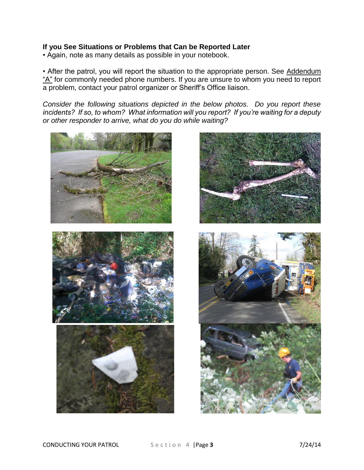# **If you See Situations or Problems that Can be Reported Later**

• Again, note as many details as possible in your notebook.

• After the patrol, you will report the situation to the appropriate person. See Addendum "A" for commonly needed phone numbers. If you are unsure to whom you need to report a problem, contact your patrol organizer or Sheriff's Office liaison.

*Consider the following situations depicted in the below photos. Do you report these incidents? If so, to whom? What information will you report? If you're waiting for a deputy or other responder to arrive, what do you do while waiting?*